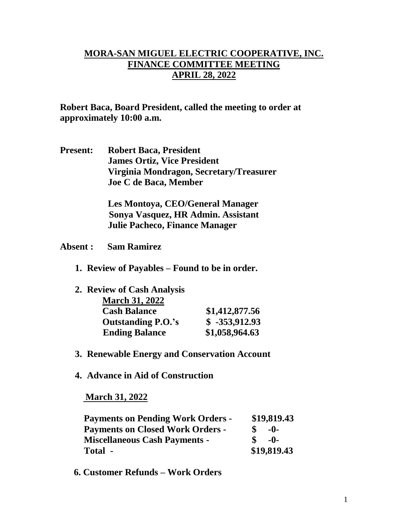## **MORA-SAN MIGUEL ELECTRIC COOPERATIVE, INC. FINANCE COMMITTEE MEETING APRIL 28, 2022**

**Robert Baca, Board President, called the meeting to order at approximately 10:00 a.m.**

**Present: Robert Baca, President James Ortiz, Vice President Virginia Mondragon, Secretary/Treasurer Joe C de Baca, Member**

> **Les Montoya, CEO/General Manager Sonya Vasquez, HR Admin. Assistant Julie Pacheco, Finance Manager**

- **Absent : Sam Ramirez**
	- **1. Review of Payables – Found to be in order.**

| 2. Review of Cash Analysis |                 |
|----------------------------|-----------------|
| <b>March 31, 2022</b>      |                 |
| <b>Cash Balance</b>        | \$1,412,877.56  |
| <b>Outstanding P.O.'s</b>  | $$ -353,912.93$ |
| <b>Ending Balance</b>      | \$1,058,964.63  |

- **3. Renewable Energy and Conservation Account**
- **4. Advance in Aid of Construction**

## **March 31, 2022**

| <b>Payments on Pending Work Orders -</b> | \$19,819.43 |
|------------------------------------------|-------------|
| <b>Payments on Closed Work Orders -</b>  | $-0-$       |
| <b>Miscellaneous Cash Payments -</b>     | $-0-$       |
| Total -                                  | \$19,819.43 |

 **6. Customer Refunds – Work Orders**